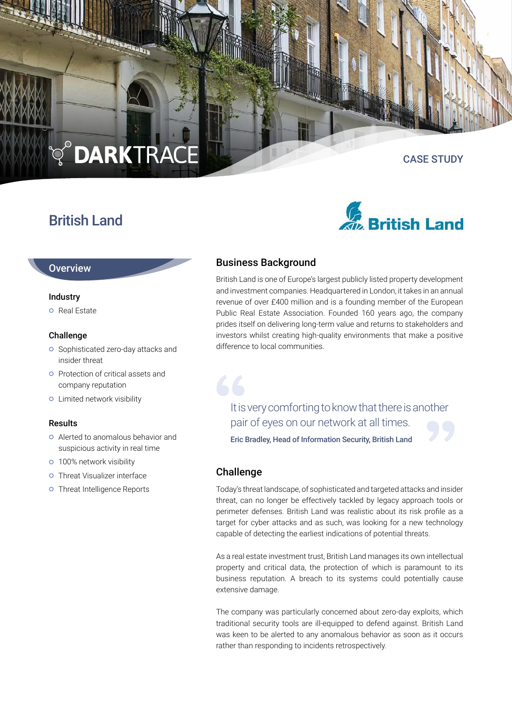# **Q<sup>O</sup>DARKTRACE**

### British Land

## CASE STUDY



#### **Overview**

#### Industry

**O** Real Estate

#### Challenge

- **o** Sophisticated zero-day attacks and insider threat
- **O** Protection of critical assets and company reputation
- **o** Limited network visibility

#### Results

- Alerted to anomalous behavior and suspicious activity in real time
- **o** 100% network visibility
- **o** Threat Visualizer interface
- **o** Threat Intelligence Reports

#### Business Background

British Land is one of Europe's largest publicly listed property development and investment companies. Headquartered in London, it takes in an annual revenue of over £400 million and is a founding member of the European Public Real Estate Association. Founded 160 years ago, the company prides itself on delivering long-term value and returns to stakeholders and investors whilst creating high-quality environments that make a positive difference to local communities.

It is very comforting to know that there is another pair of eyes on our network at all times.

Eric Bradley, Head of Information Security, British Land

#### Challenge

66

Today's threat landscape, of sophisticated and targeted attacks and insider threat, can no longer be effectively tackled by legacy approach tools or perimeter defenses. British Land was realistic about its risk profile as a target for cyber attacks and as such, was looking for a new technology capable of detecting the earliest indications of potential threats.

As a real estate investment trust, British Land manages its own intellectual property and critical data, the protection of which is paramount to its business reputation. A breach to its systems could potentially cause extensive damage.

The company was particularly concerned about zero-day exploits, which traditional security tools are ill-equipped to defend against. British Land was keen to be alerted to any anomalous behavior as soon as it occurs rather than responding to incidents retrospectively.